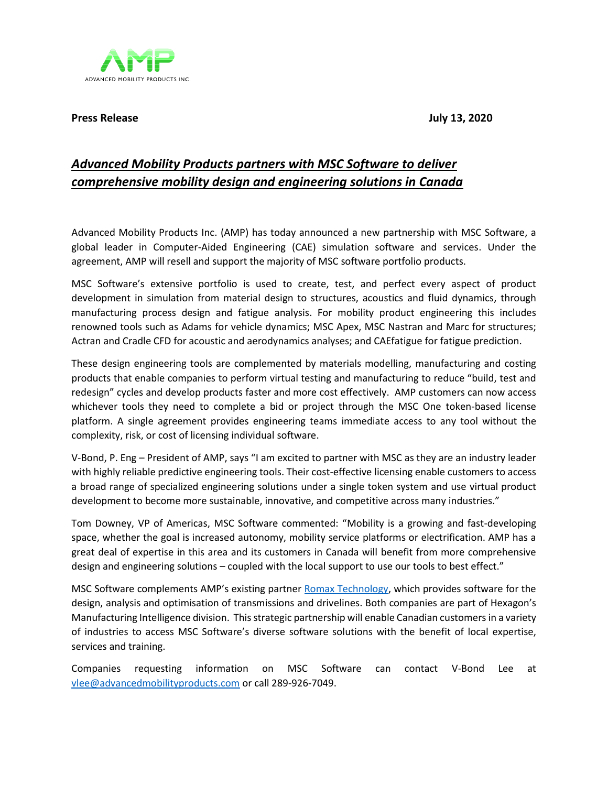ADVANCED MOBILITY PRODUCTS INC.

**Press Release July 13, 2020**

## *Advanced Mobility Products partners with MSC Software to deliver comprehensive mobility design and engineering solutions in Canada*

Advanced Mobility Products Inc. (AMP) has today announced a new partnership with MSC Software, a global leader in Computer-Aided Engineering (CAE) simulation software and services. Under the agreement, AMP will resell and support the majority of MSC software portfolio products.

MSC Software's extensive portfolio is used to create, test, and perfect every aspect of product development in simulation from material design to structures, acoustics and fluid dynamics, through manufacturing process design and fatigue analysis. For mobility product engineering this includes renowned tools such as Adams for vehicle dynamics; MSC Apex, MSC Nastran and Marc for structures; Actran and Cradle CFD for acoustic and aerodynamics analyses; and CAEfatigue for fatigue prediction.

These design engineering tools are complemented by materials modelling, manufacturing and costing products that enable companies to perform virtual testing and manufacturing to reduce "build, test and redesign" cycles and develop products faster and more cost effectively. AMP customers can now access whichever tools they need to complete a bid or project through the MSC One token-based license platform. A single agreement provides engineering teams immediate access to any tool without the complexity, risk, or cost of licensing individual software.

V-Bond, P. Eng – President of AMP, says "I am excited to partner with MSC as they are an industry leader with highly reliable predictive engineering tools. Their cost-effective licensing enable customers to access a broad range of specialized engineering solutions under a single token system and use virtual product development to become more sustainable, innovative, and competitive across many industries."

Tom Downey, VP of Americas, MSC Software commented: "Mobility is a growing and fast-developing space, whether the goal is increased autonomy, mobility service platforms or electrification. AMP has a great deal of expertise in this area and its customers in Canada will benefit from more comprehensive design and engineering solutions – coupled with the local support to use our tools to best effect."

MSC Software complements AMP's existing partner [Romax Technology,](https://www.romaxtech.com/) which provides software for the design, analysis and optimisation of transmissions and drivelines. Both companies are part of Hexagon's Manufacturing Intelligence division. This strategic partnership will enable Canadian customers in a variety of industries to access MSC Software's diverse software solutions with the benefit of local expertise, services and training.

Companies requesting information on MSC Software can contact V-Bond Lee at [vlee@advancedmobilityproducts.com](mailto:vlee@advancedmobilityproducts.com) or call 289-926-7049.